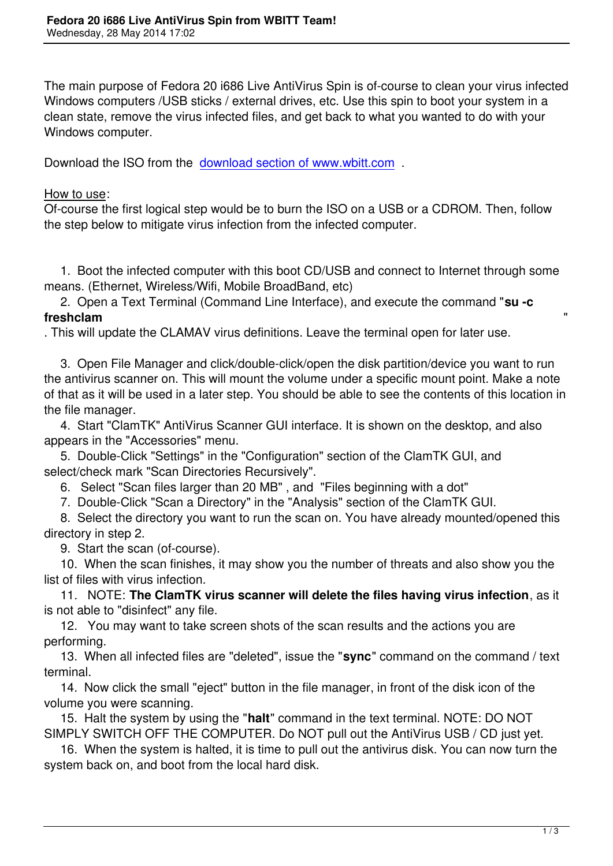The main purpose of Fedora 20 i686 Live AntiVirus Spin is of-course to clean your virus infected Windows computers /USB sticks / external drives, etc. Use this spin to boot your system in a clean state, remove the virus infected files, and get back to what you wanted to do with your Windows computer.

Download the ISO from the download section of www.wbitt.com .

How to use:

Of-course the first logical st[ep would be to burn the ISO on a US](https://drive.google.com/file/d/0Bxt9RsVFMMlybXlYUXYtb3dQeFE/edit?usp=sharing)B or a CDROM. Then, follow the step below to mitigate virus infection from the infected computer.

 1. Boot the infected computer with this boot CD/USB and connect to Internet through some means. (Ethernet, Wireless/Wifi, Mobile BroadBand, etc)

 2. Open a Text Terminal (Command Line Interface), and execute the command "**su -c freshclam** "

. This will update the CLAMAV virus definitions. Leave the terminal open for later use.

 3. Open File Manager and click/double-click/open the disk partition/device you want to run the antivirus scanner on. This will mount the volume under a specific mount point. Make a note of that as it will be used in a later step. You should be able to see the contents of this location in the file manager.

 4. Start "ClamTK" AntiVirus Scanner GUI interface. It is shown on the desktop, and also appears in the "Accessories" menu.

 5. Double-Click "Settings" in the "Configuration" section of the ClamTK GUI, and select/check mark "Scan Directories Recursively".

6. Select "Scan files larger than 20 MB" , and "Files beginning with a dot"

7. Double-Click "Scan a Directory" in the "Analysis" section of the ClamTK GUI.

 8. Select the directory you want to run the scan on. You have already mounted/opened this directory in step 2.

9. Start the scan (of-course).

 10. When the scan finishes, it may show you the number of threats and also show you the list of files with virus infection.

 11. NOTE: **The ClamTK virus scanner will delete the files having virus infection**, as it is not able to "disinfect" any file.

 12. You may want to take screen shots of the scan results and the actions you are performing.

 13. When all infected files are "deleted", issue the "**sync**" command on the command / text terminal.

 14. Now click the small "eject" button in the file manager, in front of the disk icon of the volume you were scanning.

 15. Halt the system by using the "**halt**" command in the text terminal. NOTE: DO NOT SIMPLY SWITCH OFF THE COMPUTER. Do NOT pull out the AntiVirus USB / CD just yet.

 16. When the system is halted, it is time to pull out the antivirus disk. You can now turn the system back on, and boot from the local hard disk.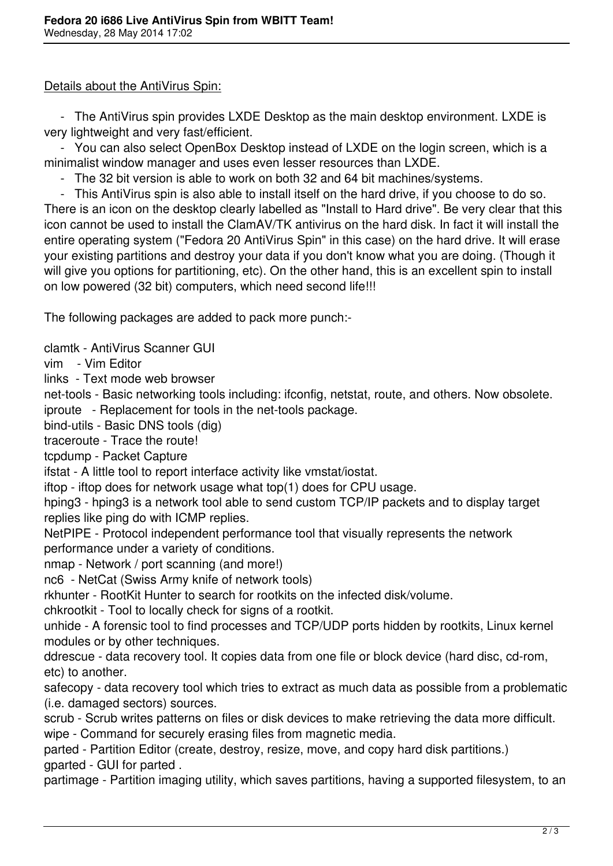Details about the AntiVirus Spin:

 - The AntiVirus spin provides LXDE Desktop as the main desktop environment. LXDE is very lightweight and very fast/efficient.

 - You can also select OpenBox Desktop instead of LXDE on the login screen, which is a minimalist window manager and uses even lesser resources than LXDE.

- The 32 bit version is able to work on both 32 and 64 bit machines/systems.

 - This AntiVirus spin is also able to install itself on the hard drive, if you choose to do so. There is an icon on the desktop clearly labelled as "Install to Hard drive". Be very clear that this icon cannot be used to install the ClamAV/TK antivirus on the hard disk. In fact it will install the entire operating system ("Fedora 20 AntiVirus Spin" in this case) on the hard drive. It will erase your existing partitions and destroy your data if you don't know what you are doing. (Though it will give you options for partitioning, etc). On the other hand, this is an excellent spin to install on low powered (32 bit) computers, which need second life!!!

The following packages are added to pack more punch:-

clamtk - AntiVirus Scanner GUI

vim - Vim Editor

links - Text mode web browser

net-tools - Basic networking tools including: ifconfig, netstat, route, and others. Now obsolete. iproute - Replacement for tools in the net-tools package.

bind-utils - Basic DNS tools (dig)

traceroute - Trace the route!

tcpdump - Packet Capture

ifstat - A little tool to report interface activity like vmstat/iostat.

iftop - iftop does for network usage what top(1) does for CPU usage.

hping3 - hping3 is a network tool able to send custom TCP/IP packets and to display target replies like ping do with ICMP replies.

NetPIPE - Protocol independent performance tool that visually represents the network performance under a variety of conditions.

nmap - Network / port scanning (and more!)

nc6 - NetCat (Swiss Army knife of network tools)

rkhunter - RootKit Hunter to search for rootkits on the infected disk/volume.

chkrootkit - Tool to locally check for signs of a rootkit.

unhide - A forensic tool to find processes and TCP/UDP ports hidden by rootkits, Linux kernel modules or by other techniques.

ddrescue - data recovery tool. It copies data from one file or block device (hard disc, cd-rom, etc) to another.

safecopy - data recovery tool which tries to extract as much data as possible from a problematic (i.e. damaged sectors) sources.

scrub - Scrub writes patterns on files or disk devices to make retrieving the data more difficult. wipe - Command for securely erasing files from magnetic media.

parted - Partition Editor (create, destroy, resize, move, and copy hard disk partitions.) gparted - GUI for parted .

partimage - Partition imaging utility, which saves partitions, having a supported filesystem, to an